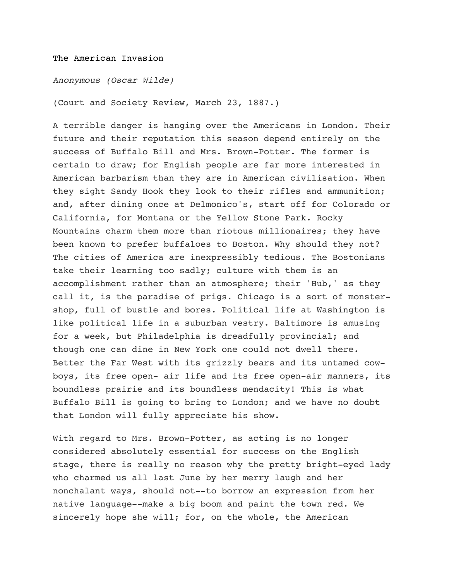## The American Invasion

*Anonymous (Oscar Wilde)*

(Court and Society Review, March 23, 1887.)

A terrible danger is hanging over the Americans in London. Their future and their reputation this season depend entirely on the success of Buffalo Bill and Mrs. Brown-Potter. The former is certain to draw; for English people are far more interested in American barbarism than they are in American civilisation. When they sight Sandy Hook they look to their rifles and ammunition; and, after dining once at Delmonico's, start off for Colorado or California, for Montana or the Yellow Stone Park. Rocky Mountains charm them more than riotous millionaires; they have been known to prefer buffaloes to Boston. Why should they not? The cities of America are inexpressibly tedious. The Bostonians take their learning too sadly; culture with them is an accomplishment rather than an atmosphere; their 'Hub,' as they call it, is the paradise of prigs. Chicago is a sort of monstershop, full of bustle and bores. Political life at Washington is like political life in a suburban vestry. Baltimore is amusing for a week, but Philadelphia is dreadfully provincial; and though one can dine in New York one could not dwell there. Better the Far West with its grizzly bears and its untamed cowboys, its free open- air life and its free open-air manners, its boundless prairie and its boundless mendacity! This is what Buffalo Bill is going to bring to London; and we have no doubt that London will fully appreciate his show.

With regard to Mrs. Brown-Potter, as acting is no longer considered absolutely essential for success on the English stage, there is really no reason why the pretty bright-eyed lady who charmed us all last June by her merry laugh and her nonchalant ways, should not--to borrow an expression from her native language--make a big boom and paint the town red. We sincerely hope she will; for, on the whole, the American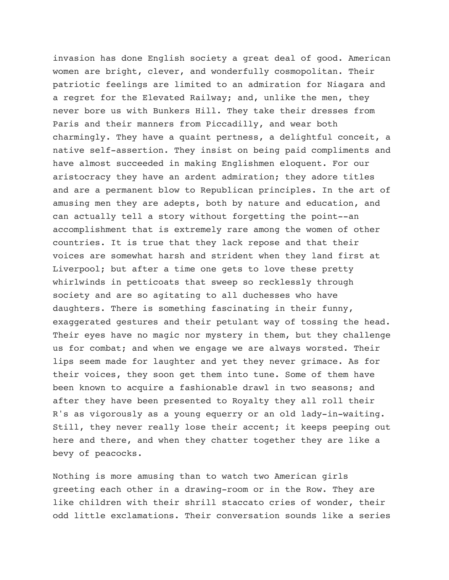invasion has done English society a great deal of good. American women are bright, clever, and wonderfully cosmopolitan. Their patriotic feelings are limited to an admiration for Niagara and a regret for the Elevated Railway; and, unlike the men, they never bore us with Bunkers Hill. They take their dresses from Paris and their manners from Piccadilly, and wear both charmingly. They have a quaint pertness, a delightful conceit, a native self-assertion. They insist on being paid compliments and have almost succeeded in making Englishmen eloquent. For our aristocracy they have an ardent admiration; they adore titles and are a permanent blow to Republican principles. In the art of amusing men they are adepts, both by nature and education, and can actually tell a story without forgetting the point--an accomplishment that is extremely rare among the women of other countries. It is true that they lack repose and that their voices are somewhat harsh and strident when they land first at Liverpool; but after a time one gets to love these pretty whirlwinds in petticoats that sweep so recklessly through society and are so agitating to all duchesses who have daughters. There is something fascinating in their funny, exaggerated gestures and their petulant way of tossing the head. Their eyes have no magic nor mystery in them, but they challenge us for combat; and when we engage we are always worsted. Their lips seem made for laughter and yet they never grimace. As for their voices, they soon get them into tune. Some of them have been known to acquire a fashionable drawl in two seasons; and after they have been presented to Royalty they all roll their R's as vigorously as a young equerry or an old lady-in-waiting. Still, they never really lose their accent; it keeps peeping out here and there, and when they chatter together they are like a bevy of peacocks.

Nothing is more amusing than to watch two American girls greeting each other in a drawing-room or in the Row. They are like children with their shrill staccato cries of wonder, their odd little exclamations. Their conversation sounds like a series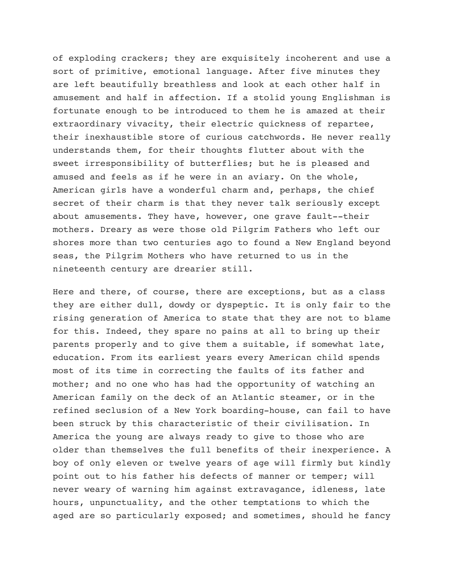of exploding crackers; they are exquisitely incoherent and use a sort of primitive, emotional language. After five minutes they are left beautifully breathless and look at each other half in amusement and half in affection. If a stolid young Englishman is fortunate enough to be introduced to them he is amazed at their extraordinary vivacity, their electric quickness of repartee, their inexhaustible store of curious catchwords. He never really understands them, for their thoughts flutter about with the sweet irresponsibility of butterflies; but he is pleased and amused and feels as if he were in an aviary. On the whole, American girls have a wonderful charm and, perhaps, the chief secret of their charm is that they never talk seriously except about amusements. They have, however, one grave fault--their mothers. Dreary as were those old Pilgrim Fathers who left our shores more than two centuries ago to found a New England beyond seas, the Pilgrim Mothers who have returned to us in the nineteenth century are drearier still.

Here and there, of course, there are exceptions, but as a class they are either dull, dowdy or dyspeptic. It is only fair to the rising generation of America to state that they are not to blame for this. Indeed, they spare no pains at all to bring up their parents properly and to give them a suitable, if somewhat late, education. From its earliest years every American child spends most of its time in correcting the faults of its father and mother; and no one who has had the opportunity of watching an American family on the deck of an Atlantic steamer, or in the refined seclusion of a New York boarding-house, can fail to have been struck by this characteristic of their civilisation. In America the young are always ready to give to those who are older than themselves the full benefits of their inexperience. A boy of only eleven or twelve years of age will firmly but kindly point out to his father his defects of manner or temper; will never weary of warning him against extravagance, idleness, late hours, unpunctuality, and the other temptations to which the aged are so particularly exposed; and sometimes, should he fancy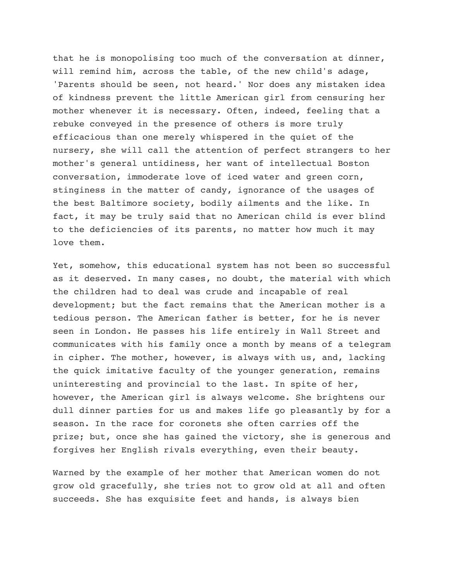that he is monopolising too much of the conversation at dinner, will remind him, across the table, of the new child's adage, 'Parents should be seen, not heard.' Nor does any mistaken idea of kindness prevent the little American girl from censuring her mother whenever it is necessary. Often, indeed, feeling that a rebuke conveyed in the presence of others is more truly efficacious than one merely whispered in the quiet of the nursery, she will call the attention of perfect strangers to her mother's general untidiness, her want of intellectual Boston conversation, immoderate love of iced water and green corn, stinginess in the matter of candy, ignorance of the usages of the best Baltimore society, bodily ailments and the like. In fact, it may be truly said that no American child is ever blind to the deficiencies of its parents, no matter how much it may love them.

Yet, somehow, this educational system has not been so successful as it deserved. In many cases, no doubt, the material with which the children had to deal was crude and incapable of real development; but the fact remains that the American mother is a tedious person. The American father is better, for he is never seen in London. He passes his life entirely in Wall Street and communicates with his family once a month by means of a telegram in cipher. The mother, however, is always with us, and, lacking the quick imitative faculty of the younger generation, remains uninteresting and provincial to the last. In spite of her, however, the American girl is always welcome. She brightens our dull dinner parties for us and makes life go pleasantly by for a season. In the race for coronets she often carries off the prize; but, once she has gained the victory, she is generous and forgives her English rivals everything, even their beauty.

Warned by the example of her mother that American women do not grow old gracefully, she tries not to grow old at all and often succeeds. She has exquisite feet and hands, is always bien